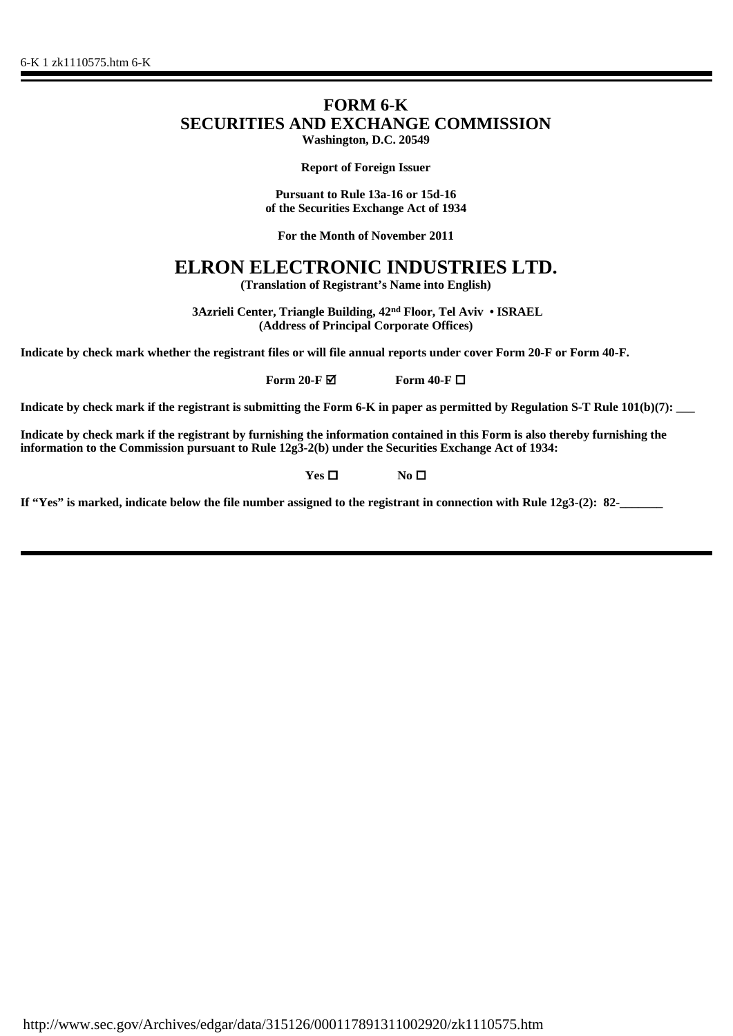# **FORM 6-K SECURITIES AND EXCHANGE COMMISSION Washington, D.C. 20549**

**Report of Foreign Issuer**

**Pursuant to Rule 13a-16 or 15d-16 of the Securities Exchange Act of 1934**

**For the Month of November 2011**

# **ELRON ELECTRONIC INDUSTRIES LTD.**

**(Translation of Registrant's Name into English)**

 **3Azrieli Center, Triangle Building, 42nd Floor, Tel Aviv • ISRAEL (Address of Principal Corporate Offices)**

**Indicate by check mark whether the registrant files or will file annual reports under cover Form 20-F or Form 40-F.**

**Form 20-F**  $\blacksquare$  **Form 40-F**  $\blacksquare$ 

**Indicate by check mark if the registrant is submitting the Form 6-K in paper as permitted by Regulation S-T Rule 101(b)(7):** 

**Indicate by check mark if the registrant by furnishing the information contained in this Form is also thereby furnishing the information to the Commission pursuant to Rule 12g3-2(b) under the Securities Exchange Act of 1934:** 

**Yes □ No □** 

**If "Yes" is marked, indicate below the file number assigned to the registrant in connection with Rule 12g3-(2): 82-\_\_\_\_\_\_\_**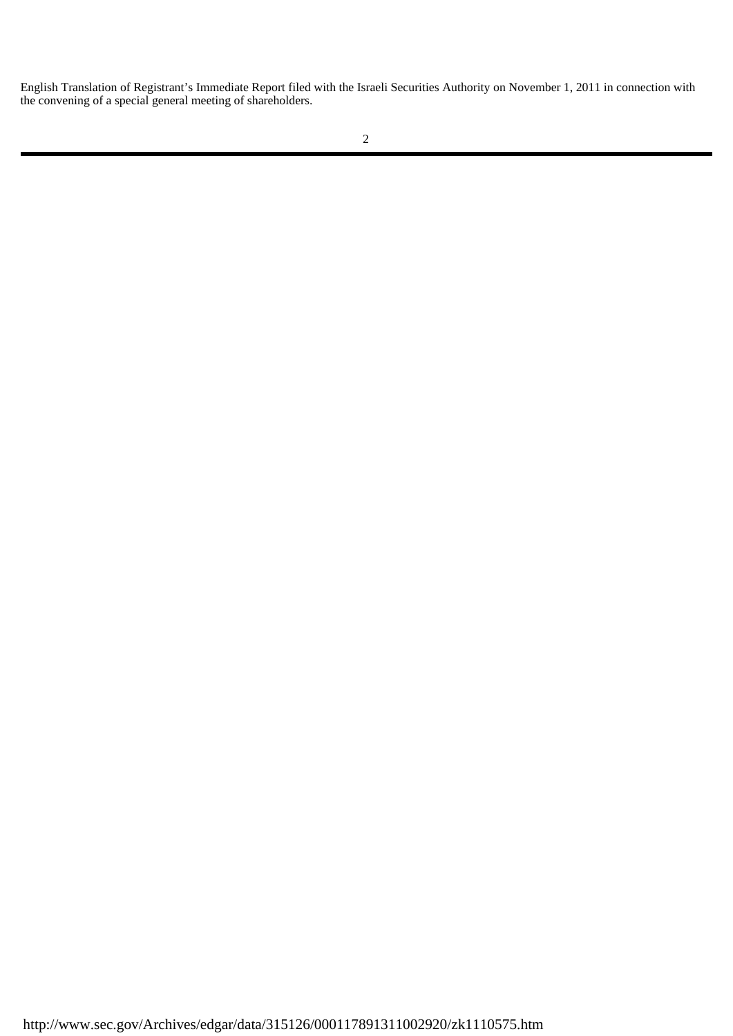English Translation of Registrant's Immediate Report filed with the Israeli Securities Authority on November 1, 2011 in connection with the convening of a special general meeting of shareholders.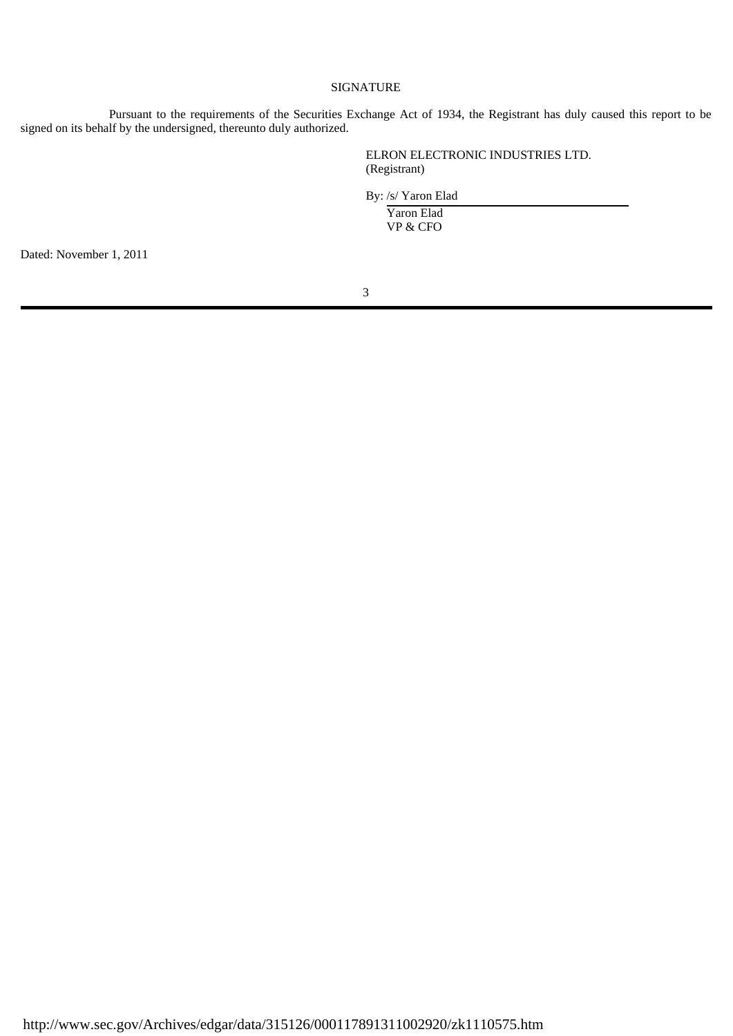### SIGNATURE

Pursuant to the requirements of the Securities Exchange Act of 1934, the Registrant has duly caused this report to be signed on its behalf by the undersigned, thereunto duly authorized.

> ELRON ELECTRONIC INDUSTRIES LTD. (Registrant)

By: /s/ Yaron Elad

 Yaron Elad VP & CFO

Dated: November 1, 2011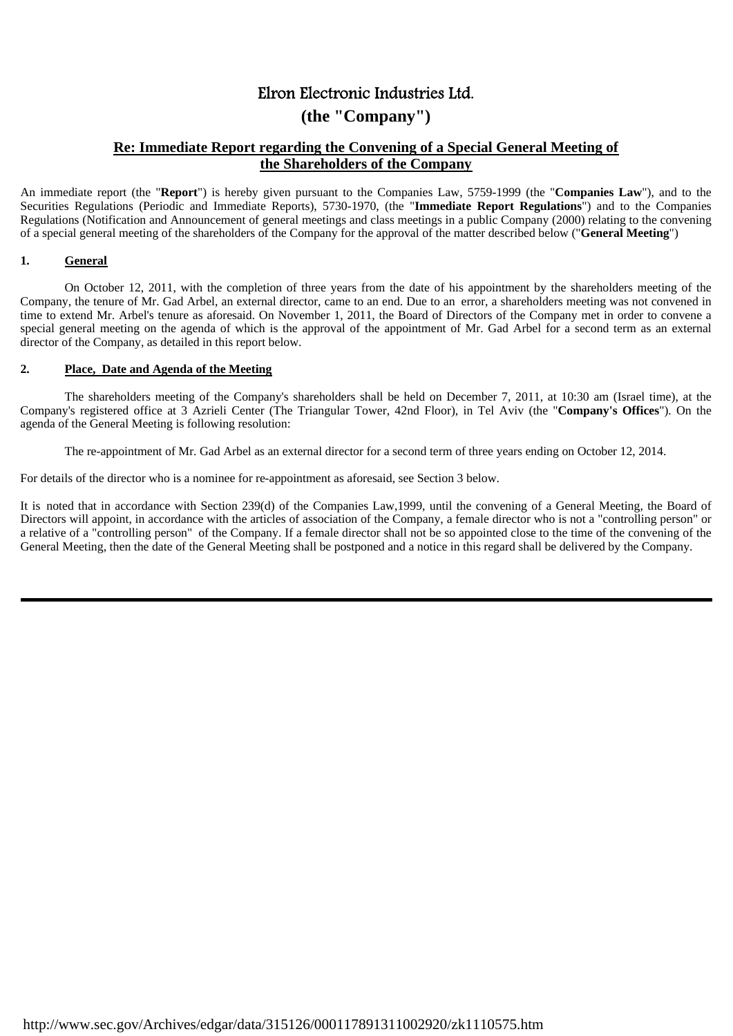# Elron Electronic Industries Ltd.

# **(the "Company")**

## **Re: Immediate Report regarding the Convening of a Special General Meeting of the Shareholders of the Company**

An immediate report (the "**Report**") is hereby given pursuant to the Companies Law, 5759-1999 (the "**Companies Law**"), and to the Securities Regulations (Periodic and Immediate Reports), 5730-1970, (the "**Immediate Report Regulations**") and to the Companies Regulations (Notification and Announcement of general meetings and class meetings in a public Company (2000) relating to the convening of a special general meeting of the shareholders of the Company for the approval of the matter described below ("**General Meeting**")

### **1. General**

On October 12, 2011, with the completion of three years from the date of his appointment by the shareholders meeting of the Company, the tenure of Mr. Gad Arbel, an external director, came to an end. Due to an error, a shareholders meeting was not convened in time to extend Mr. Arbel's tenure as aforesaid. On November 1, 2011, the Board of Directors of the Company met in order to convene a special general meeting on the agenda of which is the approval of the appointment of Mr. Gad Arbel for a second term as an external director of the Company, as detailed in this report below.

## **2. Place, Date and Agenda of the Meeting**

The shareholders meeting of the Company's shareholders shall be held on December 7, 2011, at 10:30 am (Israel time), at the Company's registered office at 3 Azrieli Center (The Triangular Tower, 42nd Floor), in Tel Aviv (the "**Company's Offices**"). On the agenda of the General Meeting is following resolution:

The re-appointment of Mr. Gad Arbel as an external director for a second term of three years ending on October 12, 2014.

For details of the director who is a nominee for re-appointment as aforesaid, see Section 3 below.

It is noted that in accordance with Section 239(d) of the Companies Law,1999, until the convening of a General Meeting, the Board of Directors will appoint, in accordance with the articles of association of the Company, a female director who is not a "controlling person" or a relative of a "controlling person" of the Company. If a female director shall not be so appointed close to the time of the convening of the General Meeting, then the date of the General Meeting shall be postponed and a notice in this regard shall be delivered by the Company.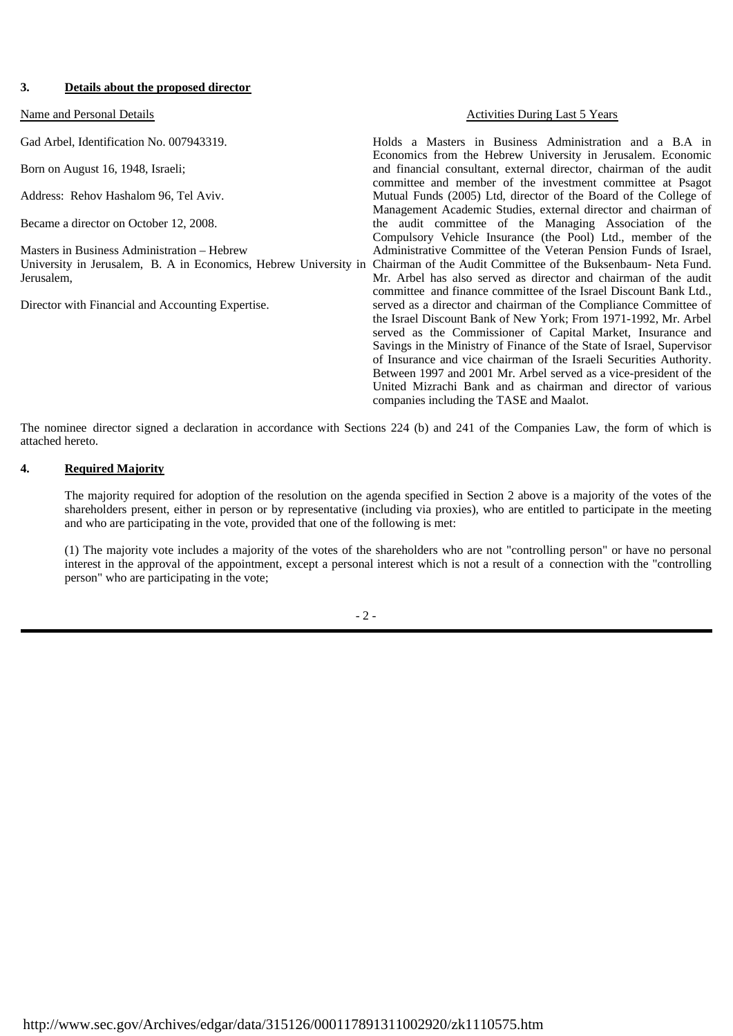#### **3. Details about the proposed director**

Gad Arbel, Identification No. 007943319.

Born on August 16, 1948, Israeli;

Address: Rehov Hashalom 96, Tel Aviv.

Became a director on October 12, 2008.

Masters in Business Administration – Hebrew University in Jerusalem, B. A in Economics, Hebrew University in Chairman of the Audit Committee of the Buksenbaum- Neta Fund. Jerusalem,

Director with Financial and Accounting Expertise.

Name and Personal Details **Name and Personal Details** Activities During Last 5 Years

Holds a Masters in Business Administration and a B.A in Economics from the Hebrew University in Jerusalem. Economic and financial consultant, external director, chairman of the audit committee and member of the investment committee at Psagot Mutual Funds (2005) Ltd, director of the Board of the College of Management Academic Studies, external director and chairman of the audit committee of the Managing Association of the Compulsory Vehicle Insurance (the Pool) Ltd., member of the Administrative Committee of the Veteran Pension Funds of Israel, Mr. Arbel has also served as director and chairman of the audit committee and finance committee of the Israel Discount Bank Ltd., served as a director and chairman of the Compliance Committee of the Israel Discount Bank of New York; From 1971-1992, Mr. Arbel served as the Commissioner of Capital Market, Insurance and Savings in the Ministry of Finance of the State of Israel, Supervisor of Insurance and vice chairman of the Israeli Securities Authority. Between 1997 and 2001 Mr. Arbel served as a vice-president of the United Mizrachi Bank and as chairman and director of various companies including the TASE and Maalot.

The nominee director signed a declaration in accordance with Sections 224 (b) and 241 of the Companies Law, the form of which is attached hereto.

#### **4. Required Majority**

The majority required for adoption of the resolution on the agenda specified in Section 2 above is a majority of the votes of the shareholders present, either in person or by representative (including via proxies), who are entitled to participate in the meeting and who are participating in the vote, provided that one of the following is met:

(1) The majority vote includes a majority of the votes of the shareholders who are not "controlling person" or have no personal interest in the approval of the appointment, except a personal interest which is not a result of a connection with the "controlling person" who are participating in the vote;

 $-2 -$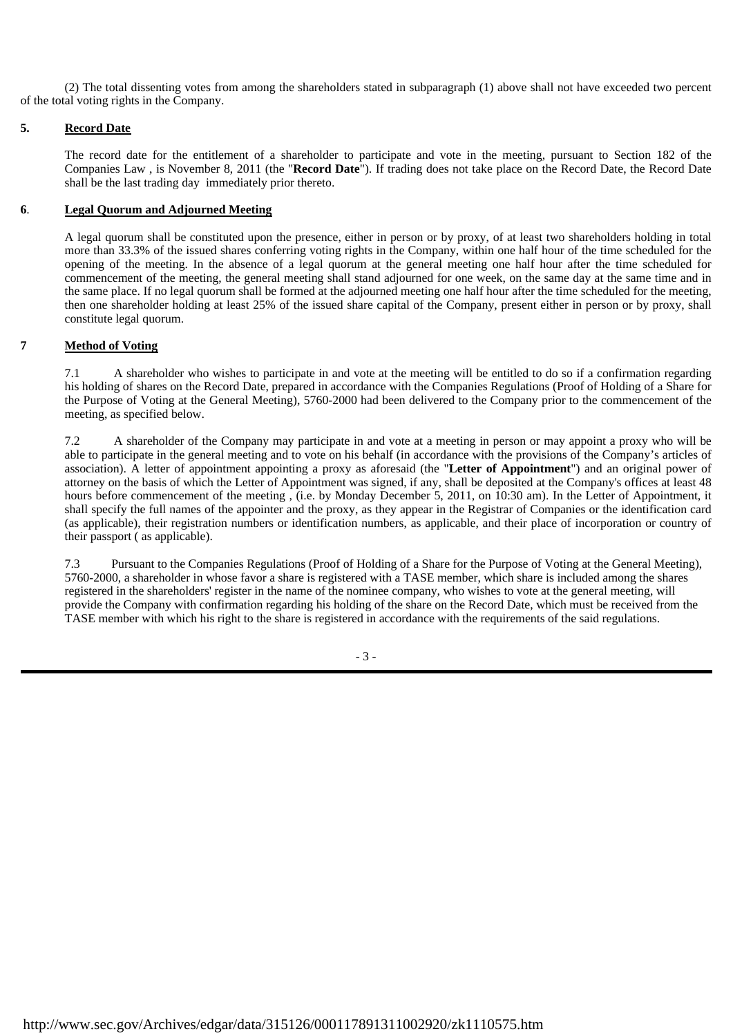(2) The total dissenting votes from among the shareholders stated in subparagraph (1) above shall not have exceeded two percent of the total voting rights in the Company.

## **5. Record Date**

The record date for the entitlement of a shareholder to participate and vote in the meeting, pursuant to Section 182 of the Companies Law , is November 8, 2011 (the "**Record Date**"). If trading does not take place on the Record Date, the Record Date shall be the last trading day immediately prior thereto.

### **6**. **Legal Quorum and Adjourned Meeting**

 A legal quorum shall be constituted upon the presence, either in person or by proxy, of at least two shareholders holding in total more than 33.3% of the issued shares conferring voting rights in the Company, within one half hour of the time scheduled for the opening of the meeting. In the absence of a legal quorum at the general meeting one half hour after the time scheduled for commencement of the meeting, the general meeting shall stand adjourned for one week, on the same day at the same time and in the same place. If no legal quorum shall be formed at the adjourned meeting one half hour after the time scheduled for the meeting, then one shareholder holding at least 25% of the issued share capital of the Company, present either in person or by proxy, shall constitute legal quorum.

## **7 Method of Voting**

7.1 A shareholder who wishes to participate in and vote at the meeting will be entitled to do so if a confirmation regarding his holding of shares on the Record Date, prepared in accordance with the Companies Regulations (Proof of Holding of a Share for the Purpose of Voting at the General Meeting), 5760-2000 had been delivered to the Company prior to the commencement of the meeting, as specified below.

7.2 A shareholder of the Company may participate in and vote at a meeting in person or may appoint a proxy who will be able to participate in the general meeting and to vote on his behalf (in accordance with the provisions of the Company's articles of association). A letter of appointment appointing a proxy as aforesaid (the "**Letter of Appointment**") and an original power of attorney on the basis of which the Letter of Appointment was signed, if any, shall be deposited at the Company's offices at least 48 hours before commencement of the meeting, (i.e. by Monday December 5, 2011, on 10:30 am). In the Letter of Appointment, it shall specify the full names of the appointer and the proxy, as they appear in the Registrar of Companies or the identification card (as applicable), their registration numbers or identification numbers, as applicable, and their place of incorporation or country of their passport ( as applicable).

7.3 Pursuant to the Companies Regulations (Proof of Holding of a Share for the Purpose of Voting at the General Meeting), 5760-2000, a shareholder in whose favor a share is registered with a TASE member, which share is included among the shares registered in the shareholders' register in the name of the nominee company, who wishes to vote at the general meeting, will provide the Company with confirmation regarding his holding of the share on the Record Date, which must be received from the TASE member with which his right to the share is registered in accordance with the requirements of the said regulations.

- 3 -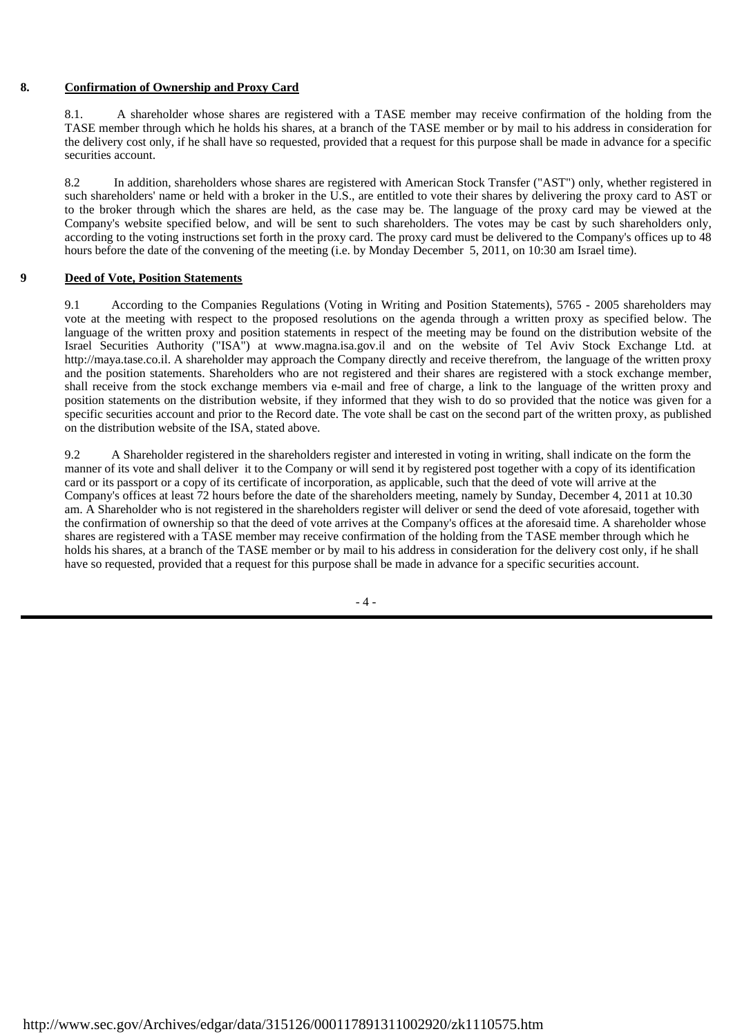### **8. Confirmation of Ownership and Proxy Card**

8.1. A shareholder whose shares are registered with a TASE member may receive confirmation of the holding from the TASE member through which he holds his shares, at a branch of the TASE member or by mail to his address in consideration for the delivery cost only, if he shall have so requested, provided that a request for this purpose shall be made in advance for a specific securities account.

8.2 In addition, shareholders whose shares are registered with American Stock Transfer ("AST") only, whether registered in such shareholders' name or held with a broker in the U.S., are entitled to vote their shares by delivering the proxy card to AST or to the broker through which the shares are held, as the case may be. The language of the proxy card may be viewed at the Company's website specified below, and will be sent to such shareholders. The votes may be cast by such shareholders only, according to the voting instructions set forth in the proxy card. The proxy card must be delivered to the Company's offices up to 48 hours before the date of the convening of the meeting (i.e. by Monday December 5, 2011, on 10:30 am Israel time).

#### **9 Deed of Vote, Position Statements**

9.1 According to the Companies Regulations (Voting in Writing and Position Statements), 5765 - 2005 shareholders may vote at the meeting with respect to the proposed resolutions on the agenda through a written proxy as specified below. The language of the written proxy and position statements in respect of the meeting may be found on the distribution website of the Israel Securities Authority ("ISA") at www.magna.isa.gov.il and on the website of Tel Aviv Stock Exchange Ltd. at http://maya.tase.co.il. A shareholder may approach the Company directly and receive therefrom, the language of the written proxy and the position statements. Shareholders who are not registered and their shares are registered with a stock exchange member, shall receive from the stock exchange members via e-mail and free of charge, a link to the language of the written proxy and position statements on the distribution website, if they informed that they wish to do so provided that the notice was given for a specific securities account and prior to the Record date. The vote shall be cast on the second part of the written proxy, as published on the distribution website of the ISA, stated above.

9.2 A Shareholder registered in the shareholders register and interested in voting in writing, shall indicate on the form the manner of its vote and shall deliver it to the Company or will send it by registered post together with a copy of its identification card or its passport or a copy of its certificate of incorporation, as applicable, such that the deed of vote will arrive at the Company's offices at least 72 hours before the date of the shareholders meeting, namely by Sunday, December 4, 2011 at 10.30 am. A Shareholder who is not registered in the shareholders register will deliver or send the deed of vote aforesaid, together with the confirmation of ownership so that the deed of vote arrives at the Company's offices at the aforesaid time. A shareholder whose shares are registered with a TASE member may receive confirmation of the holding from the TASE member through which he holds his shares, at a branch of the TASE member or by mail to his address in consideration for the delivery cost only, if he shall have so requested, provided that a request for this purpose shall be made in advance for a specific securities account.

 $-4-$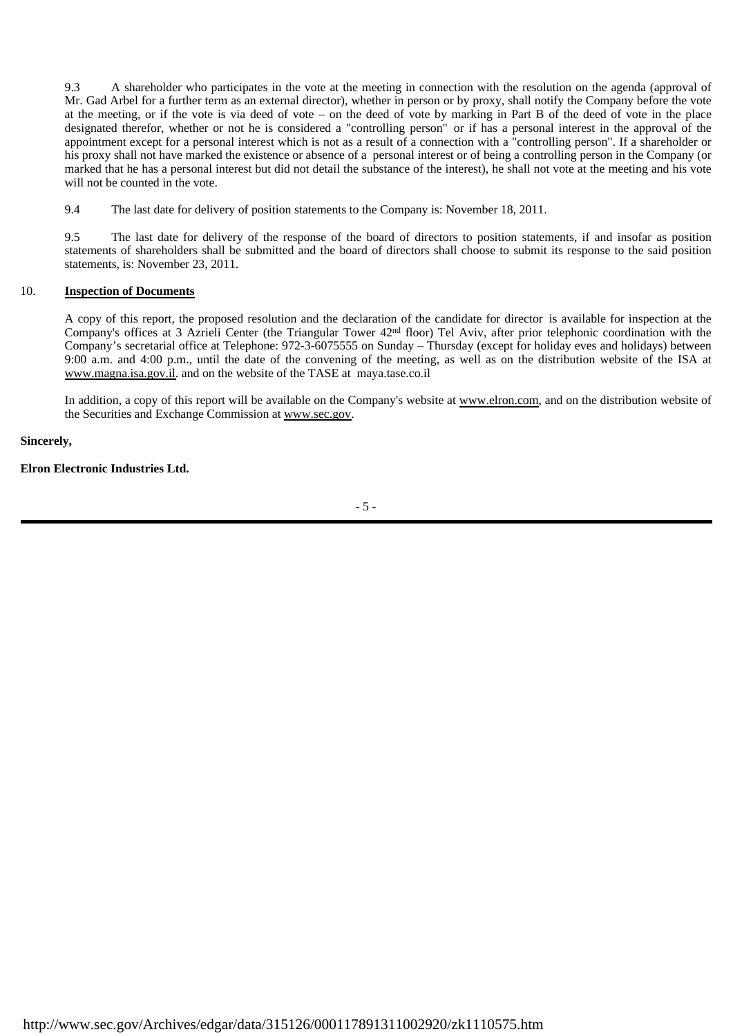9.3 A shareholder who participates in the vote at the meeting in connection with the resolution on the agenda (approval of Mr. Gad Arbel for a further term as an external director), whether in person or by proxy, shall notify the Company before the vote at the meeting, or if the vote is via deed of vote – on the deed of vote by marking in Part B of the deed of vote in the place designated therefor, whether or not he is considered a "controlling person" or if has a personal interest in the approval of the appointment except for a personal interest which is not as a result of a connection with a "controlling person". If a shareholder or his proxy shall not have marked the existence or absence of a personal interest or of being a controlling person in the Company (or marked that he has a personal interest but did not detail the substance of the interest), he shall not vote at the meeting and his vote will not be counted in the vote.

9.4 The last date for delivery of position statements to the Company is: November 18, 2011.

9.5 The last date for delivery of the response of the board of directors to position statements, if and insofar as position statements of shareholders shall be submitted and the board of directors shall choose to submit its response to the said position statements, is: November 23, 2011.

#### 10. **Inspection of Documents**

A copy of this report, the proposed resolution and the declaration of the candidate for director is available for inspection at the Company's offices at 3 Azrieli Center (the Triangular Tower 42nd floor) Tel Aviv, after prior telephonic coordination with the Company's secretarial office at Telephone: 972-3-6075555 on Sunday – Thursday (except for holiday eves and holidays) between 9:00 a.m. and 4:00 p.m., until the date of the convening of the meeting, as well as on the distribution website of the ISA at www.magna.isa.gov.il. and on the website of the TASE at maya.tase.co.il

In addition, a copy of this report will be available on the Company's website at www.elron.com, and on the distribution website of the Securities and Exchange Commission at www.sec.gov.

**Sincerely,**

**Elron Electronic Industries Ltd.**

- 5 -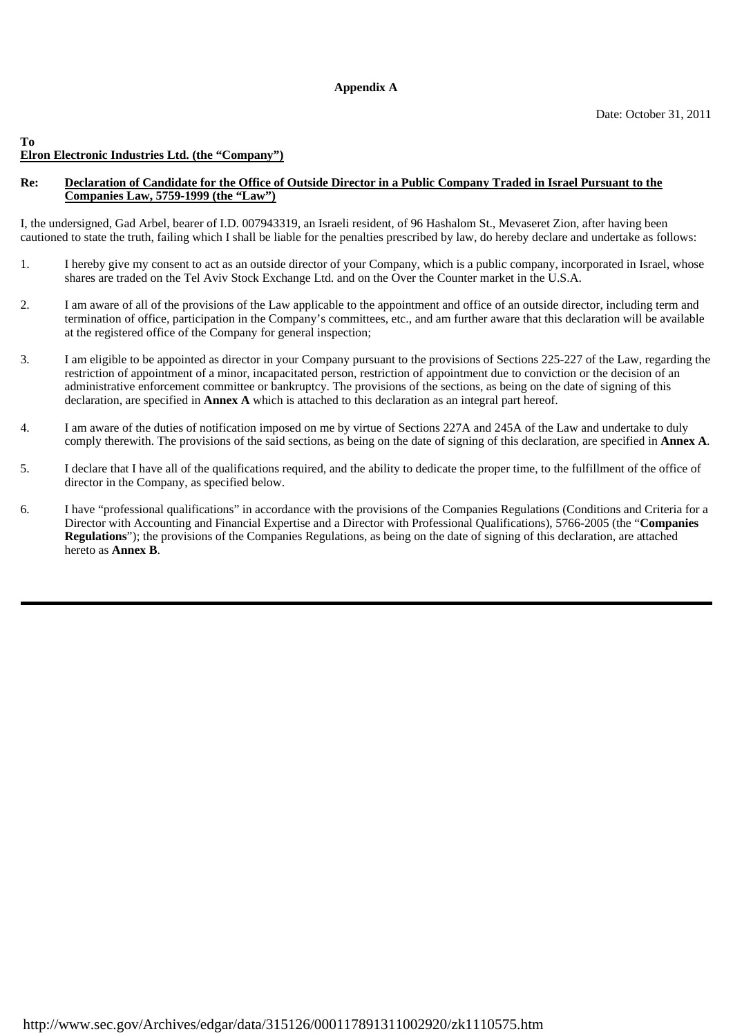## **Appendix A**

#### **To Elron Electronic Industries Ltd. (the "Company")**

### **Re: Declaration of Candidate for the Office of Outside Director in a Public Company Traded in Israel Pursuant to the Companies Law, 5759-1999 (the "Law")**

I, the undersigned, Gad Arbel, bearer of I.D. 007943319, an Israeli resident, of 96 Hashalom St., Mevaseret Zion, after having been cautioned to state the truth, failing which I shall be liable for the penalties prescribed by law, do hereby declare and undertake as follows:

- 1. I hereby give my consent to act as an outside director of your Company, which is a public company, incorporated in Israel, whose shares are traded on the Tel Aviv Stock Exchange Ltd. and on the Over the Counter market in the U.S.A.
- 2. I am aware of all of the provisions of the Law applicable to the appointment and office of an outside director, including term and termination of office, participation in the Company's committees, etc., and am further aware that this declaration will be available at the registered office of the Company for general inspection;
- 3. I am eligible to be appointed as director in your Company pursuant to the provisions of Sections 225-227 of the Law, regarding the restriction of appointment of a minor, incapacitated person, restriction of appointment due to conviction or the decision of an administrative enforcement committee or bankruptcy. The provisions of the sections, as being on the date of signing of this declaration, are specified in **Annex A** which is attached to this declaration as an integral part hereof.
- 4. I am aware of the duties of notification imposed on me by virtue of Sections 227A and 245A of the Law and undertake to duly comply therewith. The provisions of the said sections, as being on the date of signing of this declaration, are specified in **Annex A**.
- 5. I declare that I have all of the qualifications required, and the ability to dedicate the proper time, to the fulfillment of the office of director in the Company, as specified below.
- 6. I have "professional qualifications" in accordance with the provisions of the Companies Regulations (Conditions and Criteria for a Director with Accounting and Financial Expertise and a Director with Professional Qualifications), 5766-2005 (the "**Companies Regulations**"); the provisions of the Companies Regulations, as being on the date of signing of this declaration, are attached hereto as **Annex B**.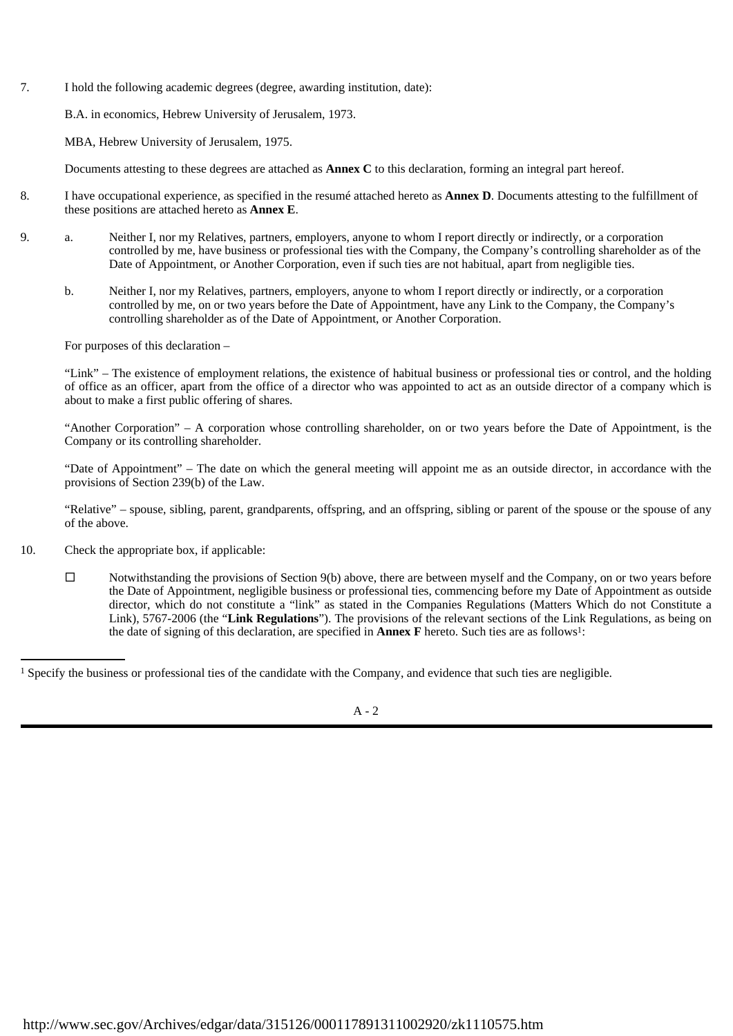7. I hold the following academic degrees (degree, awarding institution, date):

B.A. in economics, Hebrew University of Jerusalem, 1973.

MBA, Hebrew University of Jerusalem, 1975.

Documents attesting to these degrees are attached as **Annex C** to this declaration, forming an integral part hereof.

- 8. I have occupational experience, as specified in the resumé attached hereto as **Annex D**. Documents attesting to the fulfillment of these positions are attached hereto as **Annex E**.
- 9. a. Neither I, nor my Relatives, partners, employers, anyone to whom I report directly or indirectly, or a corporation controlled by me, have business or professional ties with the Company, the Company's controlling shareholder as of the Date of Appointment, or Another Corporation, even if such ties are not habitual, apart from negligible ties.
	- b. Neither I, nor my Relatives, partners, employers, anyone to whom I report directly or indirectly, or a corporation controlled by me, on or two years before the Date of Appointment, have any Link to the Company, the Company's controlling shareholder as of the Date of Appointment, or Another Corporation.

For purposes of this declaration –

 "Link" – The existence of employment relations, the existence of habitual business or professional ties or control, and the holding of office as an officer, apart from the office of a director who was appointed to act as an outside director of a company which is about to make a first public offering of shares.

 "Another Corporation" – A corporation whose controlling shareholder, on or two years before the Date of Appointment, is the Company or its controlling shareholder.

 "Date of Appointment" – The date on which the general meeting will appoint me as an outside director, in accordance with the provisions of Section 239(b) of the Law.

 "Relative" – spouse, sibling, parent, grandparents, offspring, and an offspring, sibling or parent of the spouse or the spouse of any of the above.

- 10. Check the appropriate box, if applicable:
	- $\square$  Notwithstanding the provisions of Section 9(b) above, there are between myself and the Company, on or two years before the Date of Appointment, negligible business or professional ties, commencing before my Date of Appointment as outside director, which do not constitute a "link" as stated in the Companies Regulations (Matters Which do not Constitute a Link), 5767-2006 (the "**Link Regulations**"). The provisions of the relevant sections of the Link Regulations, as being on the date of signing of this declaration, are specified in **Annex F** hereto. Such ties are as follows<sup>1</sup>:

<sup>&</sup>lt;sup>1</sup> Specify the business or professional ties of the candidate with the Company, and evidence that such ties are negligible.

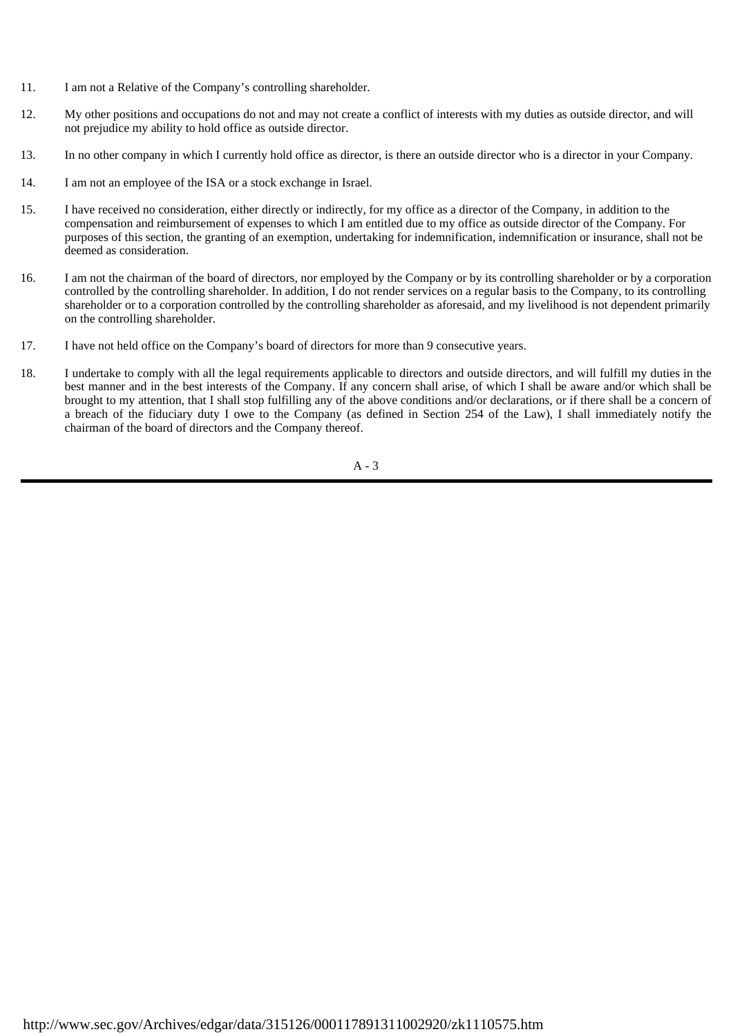- 11. I am not a Relative of the Company's controlling shareholder.
- 12. My other positions and occupations do not and may not create a conflict of interests with my duties as outside director, and will not prejudice my ability to hold office as outside director.
- 13. In no other company in which I currently hold office as director, is there an outside director who is a director in your Company.
- 14. I am not an employee of the ISA or a stock exchange in Israel.
- 15. I have received no consideration, either directly or indirectly, for my office as a director of the Company, in addition to the compensation and reimbursement of expenses to which I am entitled due to my office as outside director of the Company. For purposes of this section, the granting of an exemption, undertaking for indemnification, indemnification or insurance, shall not be deemed as consideration.
- 16. I am not the chairman of the board of directors, nor employed by the Company or by its controlling shareholder or by a corporation controlled by the controlling shareholder. In addition, I do not render services on a regular basis to the Company, to its controlling shareholder or to a corporation controlled by the controlling shareholder as aforesaid, and my livelihood is not dependent primarily on the controlling shareholder.
- 17. I have not held office on the Company's board of directors for more than 9 consecutive years.
- 18. I undertake to comply with all the legal requirements applicable to directors and outside directors, and will fulfill my duties in the best manner and in the best interests of the Company. If any concern shall arise, of which I shall be aware and/or which shall be brought to my attention, that I shall stop fulfilling any of the above conditions and/or declarations, or if there shall be a concern of a breach of the fiduciary duty I owe to the Company (as defined in Section 254 of the Law), I shall immediately notify the chairman of the board of directors and the Company thereof.

A - 3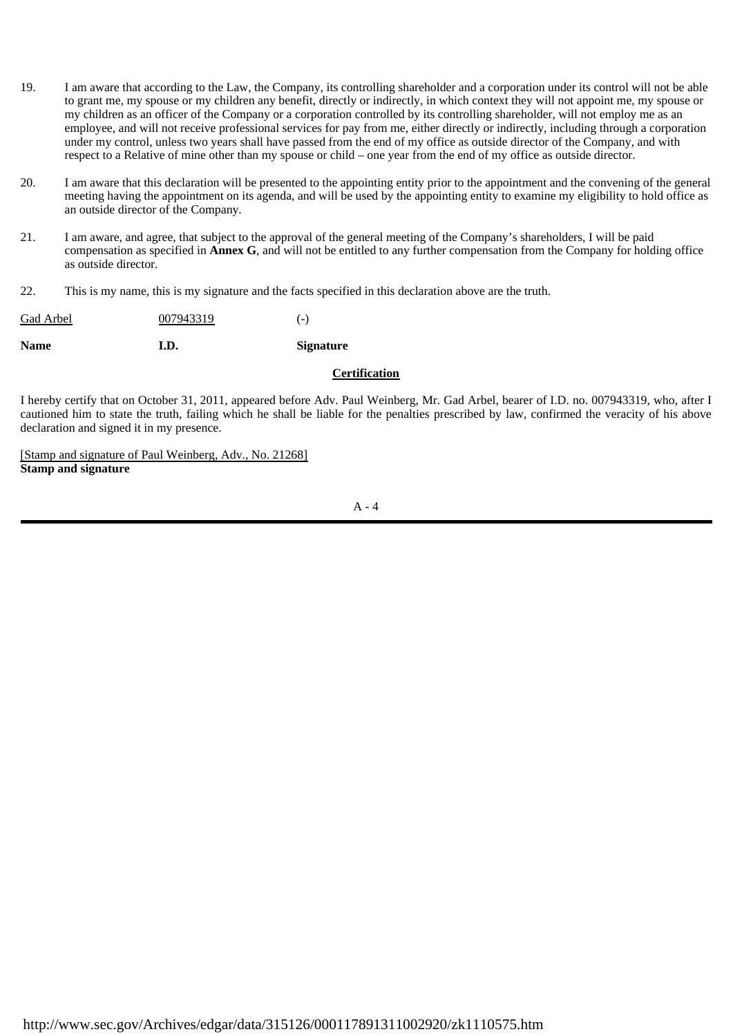- 19. I am aware that according to the Law, the Company, its controlling shareholder and a corporation under its control will not be able to grant me, my spouse or my children any benefit, directly or indirectly, in which context they will not appoint me, my spouse or my children as an officer of the Company or a corporation controlled by its controlling shareholder, will not employ me as an employee, and will not receive professional services for pay from me, either directly or indirectly, including through a corporation under my control, unless two years shall have passed from the end of my office as outside director of the Company, and with respect to a Relative of mine other than my spouse or child – one year from the end of my office as outside director.
- 20. I am aware that this declaration will be presented to the appointing entity prior to the appointment and the convening of the general meeting having the appointment on its agenda, and will be used by the appointing entity to examine my eligibility to hold office as an outside director of the Company.
- 21. I am aware, and agree, that subject to the approval of the general meeting of the Company's shareholders, I will be paid compensation as specified in **Annex G**, and will not be entitled to any further compensation from the Company for holding office as outside director.
- 22. This is my name, this is my signature and the facts specified in this declaration above are the truth.

| <b>Name</b> | I.D.      | <b>Signature</b> |
|-------------|-----------|------------------|
| Gad Arbel   | 007943319 | $(-)$            |

## **Certification**

I hereby certify that on October 31, 2011, appeared before Adv. Paul Weinberg, Mr. Gad Arbel, bearer of I.D. no. 007943319, who, after I cautioned him to state the truth, failing which he shall be liable for the penalties prescribed by law, confirmed the veracity of his above declaration and signed it in my presence.

[Stamp and signature of Paul Weinberg, Adv., No. 21268] **Stamp and signature**

 $A - 4$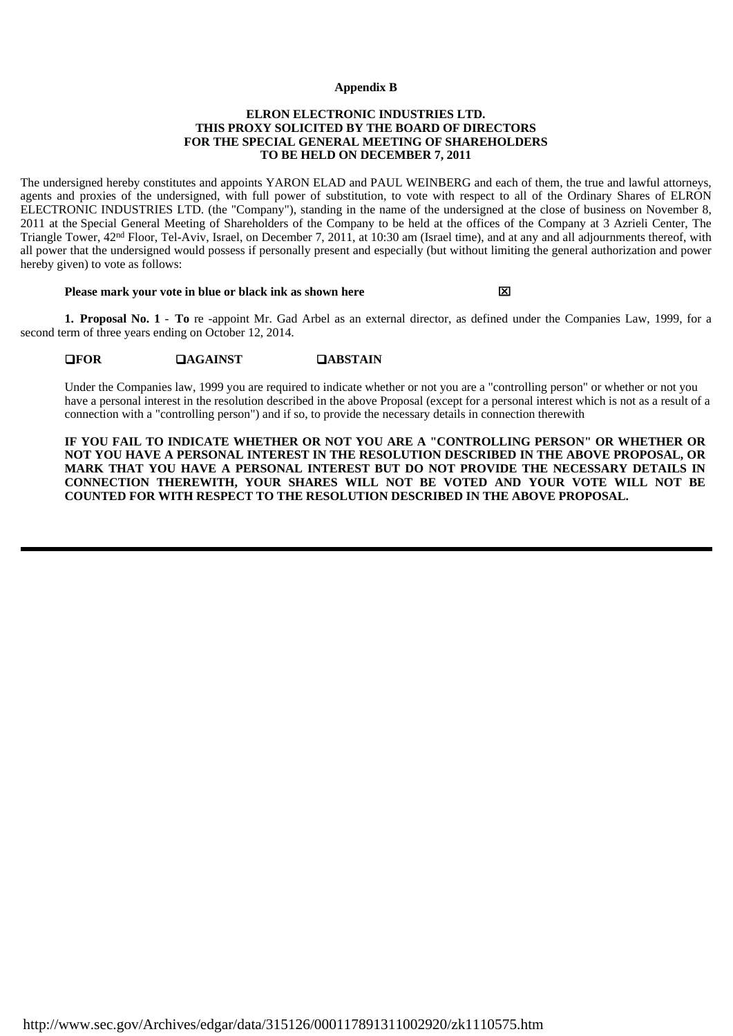#### **Appendix B**

#### **ELRON ELECTRONIC INDUSTRIES LTD. THIS PROXY SOLICITED BY THE BOARD OF DIRECTORS FOR THE SPECIAL GENERAL MEETING OF SHAREHOLDERS TO BE HELD ON DECEMBER 7, 2011**

The undersigned hereby constitutes and appoints YARON ELAD and PAUL WEINBERG and each of them, the true and lawful attorneys, agents and proxies of the undersigned, with full power of substitution, to vote with respect to all of the Ordinary Shares of ELRON ELECTRONIC INDUSTRIES LTD. (the "Company"), standing in the name of the undersigned at the close of business on November 8, 2011 at the Special General Meeting of Shareholders of the Company to be held at the offices of the Company at 3 Azrieli Center, The Triangle Tower, 42nd Floor, Tel-Aviv, Israel, on December 7, 2011, at 10:30 am (Israel time), and at any and all adjournments thereof, with all power that the undersigned would possess if personally present and especially (but without limiting the general authorization and power hereby given) to vote as follows:

#### **Please mark your vote in blue or black ink as shown here**

**1. Proposal No. 1** - **To** re -appoint Mr. Gad Arbel as an external director, as defined under the Companies Law, 1999, for a second term of three years ending on October 12, 2014.

#### **EXECUTE:** EXECUTE **PAGAINST EXECUTE: PARALLEL**

Under the Companies law, 1999 you are required to indicate whether or not you are a "controlling person" or whether or not you have a personal interest in the resolution described in the above Proposal (except for a personal interest which is not as a result of a connection with a "controlling person") and if so, to provide the necessary details in connection therewith

**IF YOU FAIL TO INDICATE WHETHER OR NOT YOU ARE A "CONTROLLING PERSON" OR WHETHER OR NOT YOU HAVE A PERSONAL INTEREST IN THE RESOLUTION DESCRIBED IN THE ABOVE PROPOSAL, OR MARK THAT YOU HAVE A PERSONAL INTEREST BUT DO NOT PROVIDE THE NECESSARY DETAILS IN CONNECTION THEREWITH, YOUR SHARES WILL NOT BE VOTED AND YOUR VOTE WILL NOT BE COUNTED FOR WITH RESPECT TO THE RESOLUTION DESCRIBED IN THE ABOVE PROPOSAL.**